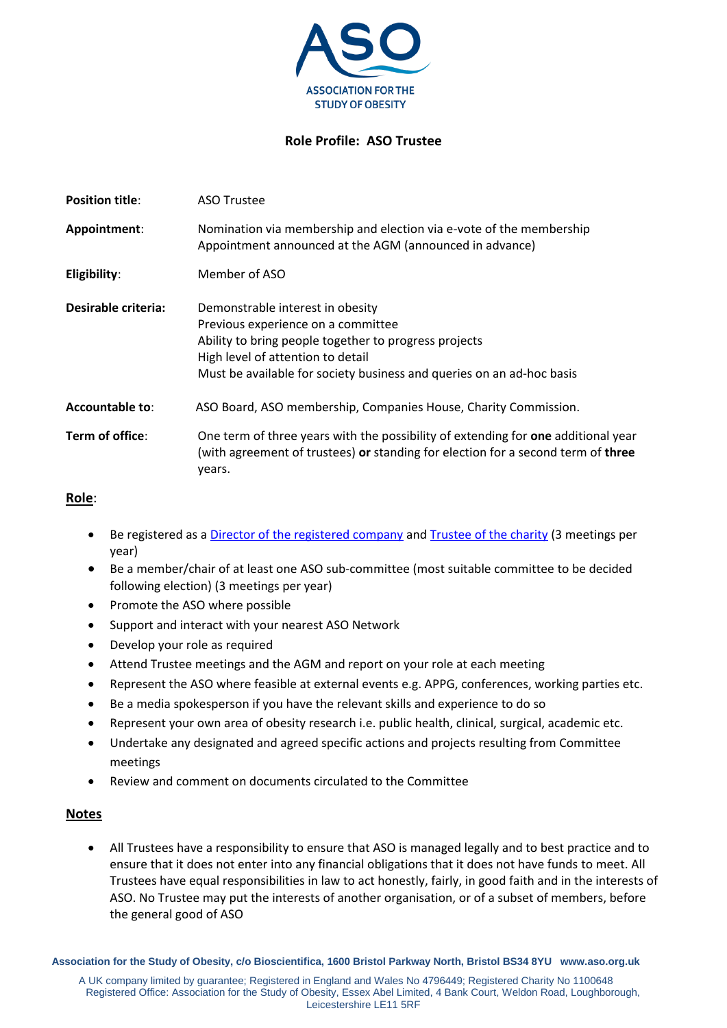

## **Role Profile: ASO Trustee**

| <b>Position title:</b> | <b>ASO Trustee</b>                                                                                                                                                                                                                            |
|------------------------|-----------------------------------------------------------------------------------------------------------------------------------------------------------------------------------------------------------------------------------------------|
| Appointment:           | Nomination via membership and election via e-vote of the membership<br>Appointment announced at the AGM (announced in advance)                                                                                                                |
| Eligibility:           | Member of ASO                                                                                                                                                                                                                                 |
| Desirable criteria:    | Demonstrable interest in obesity<br>Previous experience on a committee<br>Ability to bring people together to progress projects<br>High level of attention to detail<br>Must be available for society business and queries on an ad-hoc basis |
| <b>Accountable to:</b> | ASO Board, ASO membership, Companies House, Charity Commission.                                                                                                                                                                               |
| Term of office:        | One term of three years with the possibility of extending for one additional year<br>(with agreement of trustees) or standing for election for a second term of three<br>years.                                                               |

## **Role**:

- Be registered as a [Director of the registered company](https://www.gov.uk/guidance/being-a-company-director) and [Trustee of the charity](https://www.gov.uk/government/publications/the-essential-trustee-what-you-need-to-know-cc3/the-essential-trustee-what-you-need-to-know-what-you-need-to-do) (3 meetings per year)
- Be a member/chair of at least one ASO sub-committee (most suitable committee to be decided following election) (3 meetings per year)
- Promote the ASO where possible
- Support and interact with your nearest ASO Network
- Develop your role as required
- Attend Trustee meetings and the AGM and report on your role at each meeting
- Represent the ASO where feasible at external events e.g. APPG, conferences, working parties etc.
- Be a media spokesperson if you have the relevant skills and experience to do so
- Represent your own area of obesity research i.e. public health, clinical, surgical, academic etc.
- Undertake any designated and agreed specific actions and projects resulting from Committee meetings
- Review and comment on documents circulated to the Committee

## **Notes**

 All Trustees have a responsibility to ensure that ASO is managed legally and to best practice and to ensure that it does not enter into any financial obligations that it does not have funds to meet. All Trustees have equal responsibilities in law to act honestly, fairly, in good faith and in the interests of ASO. No Trustee may put the interests of another organisation, or of a subset of members, before the general good of ASO

**Association for the Study of Obesity, c/o Bioscientifica, 1600 Bristol Parkway North, Bristol BS34 8YU www.aso.org.uk**